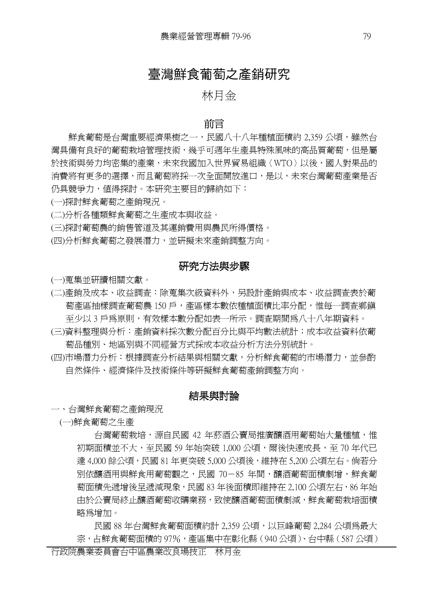# 臺灣鮮食葡萄之產銷研究

## 林月金

### 前言

鮮食葡萄是台灣重要經濟果樹之一,民國八十八年種植面積約 2,359 公頃,雖然台 灣具備有良好的葡萄栽培管理技術,幾乎可週年生產具特殊風味的高品質葡萄,但是屬 於技術與勞力均密集的產業,未來我國加入世界貿易組織〈WTO〉以後,國人對果品的 消費將有更多的選擇,而且葡萄將採一次全面開放進口,是以,未來台灣葡萄產業是否 仍具競爭力,值得探討。本研究主要目的歸納如下:

(一)探討鮮食葡萄之產銷現況。

(二)分析各種類鮮食葡萄之生產成本與收益。

(三)探討葡萄農的銷售管道及其運銷費用與農民所得價格。

(四)分析鮮食葡萄之發展潛力,並研擬未來產銷調整方向。

## 研究方法與步驟

(一)蒐集並研讀相關文獻。

(二)產銷及成本、收益調查:除蒐集次級資料外,另設計產銷與成本、收益調查表於葡 萄產區抽樣調查葡萄農 150 戶,產區樣本數依種植面積比率分配,惟每一調查鄉鎮 至少以 3 戶為原則,有效樣本數分配如表一所示。調查期間為八十八年期資料。

(三)資料整理與分析:產銷資料採次數分配百分比與平均數法統計;成本收益資料依葡 萄品種別、地區別與不同經營方式採成本收益分析方法分別統計。

(四)市場潛力分析:根據調查分析結果與相關文獻,分析鮮食葡萄的市場潛力,並參酌 自然條件、經濟條件及技術條件等研擬鮮食葡萄產銷調整方向。

## 結果與討論

一、台灣鮮食葡萄之產銷現況

(一)鮮食葡萄之生產

台灣葡萄栽培,源自民國 42 年菸酒公賣局推廣釀酒用葡萄始大量種植,惟 初期面積並不大,至民國 59 年始突破 1,000 公頃,爾後快速成長,至 70 年代已 達 4,000 餘公頃,民國 81 年更突破 5,000 公頃後,維持在 5,200 公頃左右。倘若分 別依釀酒用與鮮食用葡萄觀之,民國 70-85 年間,釀酒葡萄面積劇增,鮮食葡 萄面積先遞增後呈遞減現象,民國 83 年後面積即維持在 2,100 公頃左右,86 年始 由於公賣局終止釀酒葡萄收購業務,致使釀酒葡萄面積劇減,鮮食葡萄栽培面積 略為增加。

民國 88 年台灣鮮食葡萄面積約計 2,359 公頃,以巨峰葡萄 2,284 公頃為最大 宗,占鮮食葡萄面積的 97%,產區集中在彰化縣 (940 公頃)、台中縣 (587 公頃)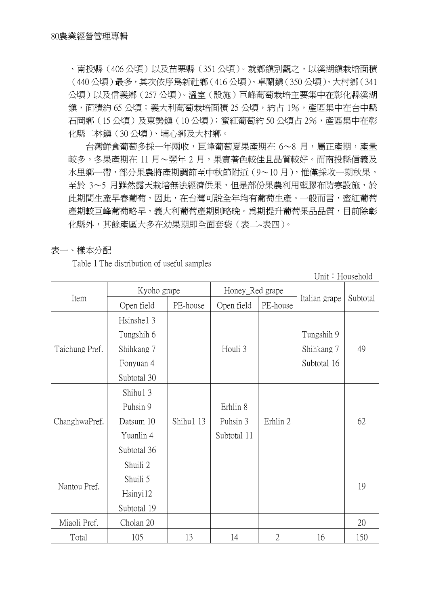、南投縣(406 公頃)以及苗栗縣(351 公頃)。就鄉鎮別觀之,以溪湖鎮栽培面積 (440 公頃)最多,其次依序為新社鄉(416 公頃)、卓蘭鎮(350 公頃)、大村鄉(341 公頃)以及信義鄉(257 公頃)。溫室(設施)巨峰葡萄栽培主要集中在彰化縣溪湖 鎮,面積約 65 公頃;義大利葡萄栽培面積 25 公頃,約占 1%,產區集中在台中縣 石岡鄉(15公頃)及東勢鎭(10公頃);蜜紅葡萄約50公頃占 2%,產區集中在彰 化縣二林鎮(30 公頃)、埔心鄉及大村鄉。

台灣鮮食葡萄多採一年兩收,巨峰葡萄夏果產期在 6~8 月,屬正產期,產量 較多。冬果產期在 11 月~翌年 2 月,果實著色較佳且品質較好。而南投縣信義及 水里鄉一帶,部分果農將產期調節至中秋節附近(9~10 月),惟僅採收一期秋果。 至於 3~5 月雖然露天栽培無法經濟供果,但是部份果農利用塑膠布防寒設施,於 此期間生產早春葡萄,因此,在台灣可說全年均有葡萄生產。一般而言,蜜紅葡萄 產期較巨峰葡萄略早,義大利葡萄產期則略晚。為期提升葡萄果品品質,目前除彰 化縣外,其餘產區大多在幼果期即全面套袋(表二~表四)。

#### 表一、樣本分配

Table 1 The distribution of useful samples

Unit: Household

|                | Kyoho grape |           | Honey_Red grape |                |               |          |
|----------------|-------------|-----------|-----------------|----------------|---------------|----------|
| Item           | Open field  | PE-house  | Open field      | PE-house       | Italian grape | Subtotal |
|                | Hsinshel 3  |           |                 |                |               |          |
|                | Tungshih 6  |           |                 |                | Tungshih 9    |          |
| Taichung Pref. | Shihkang 7  |           | Houli 3         |                | Shihkang 7    | 49       |
|                | Fonyuan 4   |           |                 |                | Subtotal 16   |          |
|                | Subtotal 30 |           |                 |                |               |          |
|                | Shihu1 3    |           |                 |                |               |          |
|                | Puhsin 9    |           | Erhlin 8        |                |               |          |
| ChanghwaPref.  | Datsum 10   | Shihu1 13 | Puhsin 3        | Erhlin 2       |               | 62       |
|                | Yuanlin 4   |           | Subtotal 11     |                |               |          |
|                | Subtotal 36 |           |                 |                |               |          |
|                | Shuili 2    |           |                 |                |               |          |
| Nantou Pref.   | Shuili 5    |           |                 |                |               | 19       |
|                | Hsinyi12    |           |                 |                |               |          |
|                | Subtotal 19 |           |                 |                |               |          |
| Miaoli Pref.   | Cholan 20   |           |                 |                |               | 20       |
| Total          | 105         | 13        | 14              | $\overline{2}$ | 16            | 150      |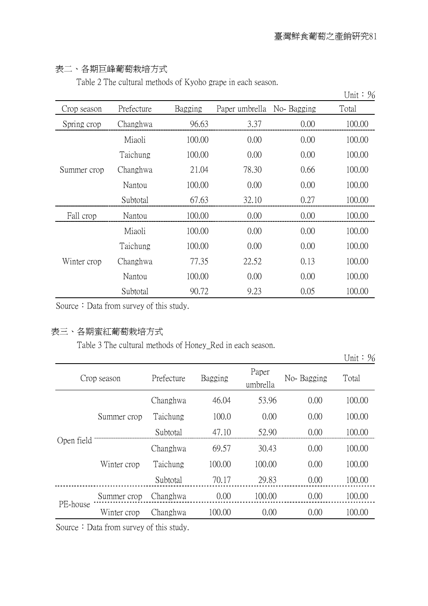## 表二、各期巨峰葡萄栽培方式

Table 2 The cultural methods of Kyoho grape in each season.

|             |            |         |                |            | Unit: $\%$ |
|-------------|------------|---------|----------------|------------|------------|
| Crop season | Prefecture | Bagging | Paper umbrella | No-Bagging | Total      |
| Spring crop | Changhwa   | 96.63   | 3.37           | 0.00       | 100.00     |
|             | Miaoli     | 100.00  | 0.00           | 0.00       | 100.00     |
|             | Taichung   | 100.00  | 0.00           | 0.00       | 100.00     |
| Summer crop | Changhwa   | 21.04   | 78.30          | 0.66       | 100.00     |
|             | Nantou     | 100.00  | 0.00           | 0.00       | 100.00     |
|             | Subtotal   | 67.63   | 32.10          | 0.27       | 100.00     |
| Fall crop   | Nantou     | 100.00  | 0.00           | 0.00       | 100.00     |
|             | Miaoli     | 100.00  | 0.00           | 0.00       | 100.00     |
|             | Taichung   | 100.00  | 0.00           | 0.00       | 100.00     |
| Winter crop | Changhwa   | 77.35   | 22.52          | 0.13       | 100.00     |
|             | Nantou     | 100.00  | 0.00           | 0.00       | 100.00     |
|             | Subtotal   | 90.72   | 9.23           | 0.05       | 100.00     |

Source: Data from survey of this study.

## 表三、各期蜜紅葡萄栽培方式

Table 3 The cultural methods of Honey\_Red in each season.

Unit: %

| Crop season               |             | Prefecture | Bagging | Paper<br>umbrella | No-Bagging | Total  |
|---------------------------|-------------|------------|---------|-------------------|------------|--------|
| Summer crop<br>Open field |             | Changhwa   | 46.04   | 53.96             | 0.00       | 100.00 |
|                           |             | Taichung   | 100.0   | 0.00              | 0.00       | 100.00 |
|                           |             | Subtotal   | 47.10   | 52.90             | 0.00       | 100.00 |
|                           | Winter crop | Changhwa   | 69.57   | 30.43             | 0.00       | 100.00 |
|                           |             | Taichung   | 100.00  | 100.00            | 0.00       | 100.00 |
|                           |             | Subtotal   | 70.17   | 29.83             | 0.00       | 100.00 |
| PE-house                  | Summer crop | Changhwa   | 0.00    | 100.00            | 0.00       | 100.00 |
|                           | Winter crop | Changhwa   | 100.00  | 0.00              | 0.00       | 100.00 |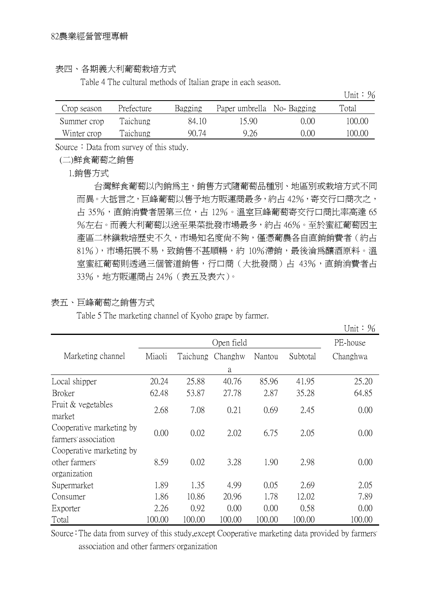#### 表四、各期義大利葡萄栽培方式

Table 4 The cultural methods of Italian grape in each season.

|             |            |         |                           |      | Unit: $\frac{9}{6}$ |
|-------------|------------|---------|---------------------------|------|---------------------|
| Crop season | Prefecture | Bagging | Paper umbrella No-Bagging |      | Total               |
| Summer crop | Taichung   | 84.10   | 15.90                     | 0.00 | 100.00              |
| Winter crop | Taichung   | 90.74   | 9.26                      | 0.00 | 100.00              |

Source: Data from survey of this study.

(二)鮮食葡萄之銷售

1.銷售方式

台灣鮮食葡萄以內銷為主,銷售方式隨葡萄品種別、地區別或栽培方式不同 而異。大抵言之,巨峰葡萄以售予地方販運商最多,約占 42%,寄交行口商次之, 占 35%,直銷消費者居第三位,占 12%。溫室巨峰葡萄寄交行口商比率高達 65 %左右。而義大利葡萄以送至果菜批發市場最多,約占 46%。至於蜜紅葡萄因主 產區二林鎮栽培歷史不久,市場知名度尚不夠,僅憑葡農各自直銷銷費者(約占 81%),市場拓展不易,致銷售不甚順暢,約 10%滯銷,最後淪爲釀酒原料。溫 室蜜紅葡萄則透過三個管道銷售,行口商(大批發商)占 43%,直銷消費者占 33%,地方販運商占 24%(表五及表六)。

### 表五、巨峰葡萄之銷售方式

Table 5 The marketing channel of Kyoho grape by farmer.

|                                                            |        |          |            |        |          | Unit: $\frac{1}{6}$ |
|------------------------------------------------------------|--------|----------|------------|--------|----------|---------------------|
|                                                            |        |          | Open field |        |          | PE-house            |
| Marketing channel                                          | Miaoli | Taichung | Changhw    | Nantou | Subtotal | Changhwa            |
|                                                            |        |          | a          |        |          |                     |
| Local shipper                                              | 20.24  | 25.88    | 40.76      | 85.96  | 41.95    | 25.20               |
| <b>Broker</b>                                              | 62.48  | 53.87    | 27.78      | 2.87   | 35.28    | 64.85               |
| Fruit & vegetables<br>market                               | 2.68   | 7.08     | 0.21       | 0.69   | 2.45     | 0.00                |
| Cooperative marketing by<br>farmers' association           | 0.00   | 0.02     | 2.02       | 6.75   | 2.05     | 0.00                |
| Cooperative marketing by<br>other farmers'<br>organization | 8.59   | 0.02     | 3.28       | 1.90   | 2.98     | 0.00                |
| Supermarket                                                | 1.89   | 1.35     | 4.99       | 0.05   | 2.69     | 2.05                |
| Consumer                                                   | 1.86   | 10.86    | 20.96      | 1.78   | 12.02    | 7.89                |
| Exporter                                                   | 2.26   | 0.92     | 0.00       | 0.00   | 0.58     | 0.00                |
| Total                                                      | 100.00 | 100.00   | 100.00     | 100.00 | 100.00   | 100.00              |

Source: The data from survey of this study, except Cooperative marketing data provided by farmers' association and other farmers organization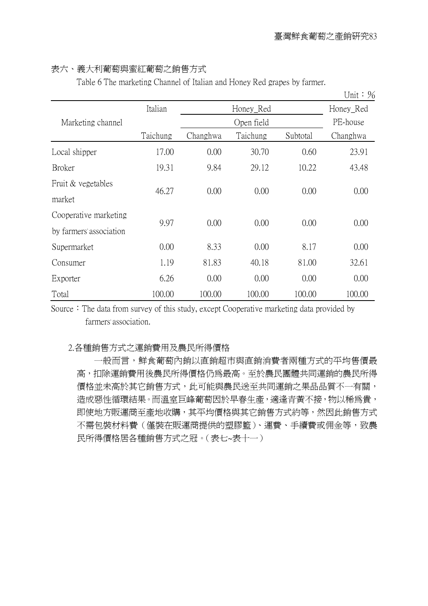## 表六、義大利葡萄與蜜紅葡萄之銷售方式

Table 6 The marketing Channel of Italian and Honey Red grapes by farmer.

|                         |          |          |            |          | Unit: $\frac{1}{6}$ |
|-------------------------|----------|----------|------------|----------|---------------------|
|                         | Italian  |          | Honey_Red  |          | Honey_Red           |
| Marketing channel       |          |          | Open field |          | PE-house            |
|                         | Taichung | Changhwa | Taichung   | Subtotal | Changhwa            |
| Local shipper           | 17.00    | 0.00     | 30.70      | 0.60     | 23.91               |
| <b>Broker</b>           | 19.31    | 9.84     | 29.12      | 10.22    | 43.48               |
| Fruit & vegetables      |          |          |            |          |                     |
| market                  | 46.27    | 0.00     | 0.00       | 0.00     | 0.00                |
| Cooperative marketing   | 9.97     | 0.00     | 0.00       | 0.00     | 0.00                |
| by farmers' association |          |          |            |          |                     |
| Supermarket             | 0.00     | 8.33     | 0.00       | 8.17     | 0.00                |
| Consumer                | 1.19     | 81.83    | 40.18      | 81.00    | 32.61               |
| Exporter                | 6.26     | 0.00     | 0.00       | 0.00     | 0.00                |
| Total                   | 100.00   | 100.00   | 100.00     | 100.00   | 100.00              |

Source: The data from survey of this study, except Cooperative marketing data provided by farmers' association.

#### 2.各種銷售方式之運銷費用及農民所得價格

一般而言,鮮食葡萄內銷以直銷超市與直銷消費者兩種方式的平均售價最 高,扣除運銷費用後農民所得價格仍為最高。至於農民團體共同運銷的農民所得 價格並未高於其它銷售方式,此可能與農民送至共同運銷之果品品質不一有關, 造成惡性循環結果。而溫室巨峰葡萄因於早春生產,適逢青黃不接,物以稀爲貴, 即使地方販運商至產地收購,其平均價格與其它銷售方式約等,然因此銷售方式 不需包裝材料費(僅裝在販運商提供的塑膠籃)、運費、手續費或佣金等,致農 民所得價格居各種銷售方式之冠。(表七~表十一)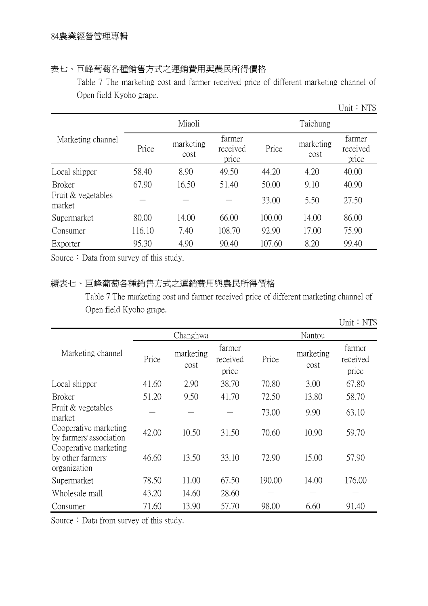## 表七、巨峰葡萄各種銷售方式之運銷費用與農民所得價格

Table 7 The marketing cost and farmer received price of different marketing channel of Open field Kyoho grape.

|                              |        |                   |                             |        |                   | Unit: $NT$$                 |  |
|------------------------------|--------|-------------------|-----------------------------|--------|-------------------|-----------------------------|--|
|                              |        | Miaoli            |                             |        | Taichung          |                             |  |
| Marketing channel            | Price  | marketing<br>cost | farmer<br>received<br>price | Price  | marketing<br>cost | farmer<br>received<br>price |  |
| Local shipper                | 58.40  | 8.90              | 49.50                       | 44.20  | 4.20              | 40.00                       |  |
| <b>Broker</b>                | 67.90  | 16.50             | 51.40                       | 50.00  | 9.10              | 40.90                       |  |
| Fruit & vegetables<br>market |        |                   |                             | 33.00  | 5.50              | 27.50                       |  |
| Supermarket                  | 80.00  | 14.00             | 66.00                       | 100.00 | 14.00             | 86.00                       |  |
| Consumer                     | 116.10 | 7.40              | 108.70                      | 92.90  | 17.00             | 75.90                       |  |
| Exporter                     | 95.30  | 4.90              | 90.40                       | 107.60 | 8.20              | 99.40                       |  |

Source: Data from survey of this study.

## 續表七、巨峰葡萄各種銷售方式之運銷費用與農民所得價格

Table 7 The marketing cost and farmer received price of different marketing channel of Open field Kyoho grape.

|                                                                           |       |                   |                             |        |                   | Unit: $NT$$                 |
|---------------------------------------------------------------------------|-------|-------------------|-----------------------------|--------|-------------------|-----------------------------|
|                                                                           |       | Changhwa          |                             |        | Nantou            |                             |
| Marketing channel                                                         | Price | marketing<br>cost | farmer<br>received<br>price | Price  | marketing<br>cost | farmer<br>received<br>price |
| Local shipper                                                             | 41.60 | 2.90              | 38.70                       | 70.80  | 3.00              | 67.80                       |
| <b>Broker</b>                                                             | 51.20 | 9.50              | 41.70                       | 72.50  | 13.80             | 58.70                       |
| Fruit & vegetables<br>market                                              |       |                   |                             | 73.00  | 9.90              | 63.10                       |
| Cooperative marketing<br>by farmers' association<br>Cooperative marketing | 42.00 | 10.50             | 31.50                       | 70.60  | 10.90             | 59.70                       |
| by other farmers'<br>organization                                         | 46.60 | 13.50             | 33.10                       | 72.90  | 15.00             | 57.90                       |
| Supermarket                                                               | 78.50 | 11.00             | 67.50                       | 190.00 | 14.00             | 176.00                      |
| Wholesale mall                                                            | 43.20 | 14.60             | 28.60                       |        |                   |                             |
| Consumer                                                                  | 71.60 | 13.90             | 57.70                       | 98.00  | 6.60              | 91.40                       |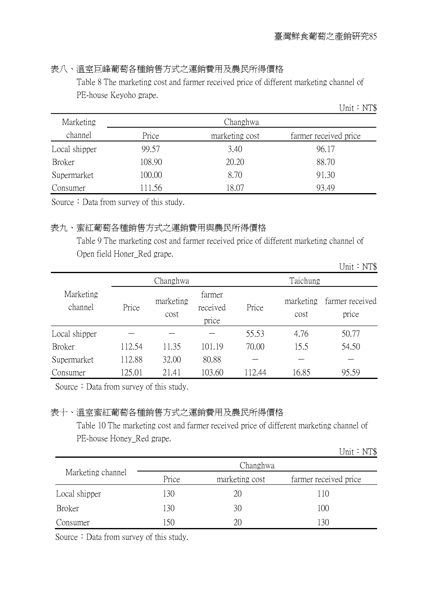## 表八、溫室巨峰葡萄各種銷售方式之運銷費用及農民所得價格

Table 8 The marketing cost and farmer received price of different marketing channel of PE-house Keyoho grape.

|               |        |                | Unit: $NT$$           |
|---------------|--------|----------------|-----------------------|
| Marketing     |        | Changhwa       |                       |
| channel       | Price  | marketing cost | farmer received price |
| Local shipper | 99.57  | 3.40           | 96.17                 |
| <b>Broker</b> | 108.90 | 20.20          | 88.70                 |
| Supermarket   | 100.00 | 8.70           | 91.30                 |
| Consumer      | 111.56 | 18.07          | 93.49                 |

Source: Data from survey of this study.

## 表九、蜜紅葡萄各種銷售方式之運銷費用與農民所得價格

Table 9 The marketing cost and farmer received price of different marketing channel of Open field Honer\_Red grape.

|                      |        |                   |                             |       |                   | ◡…<br>$111 \psi$         |
|----------------------|--------|-------------------|-----------------------------|-------|-------------------|--------------------------|
|                      |        | Changhwa          |                             |       | Taichung          |                          |
| Marketing<br>channel | Price  | marketing<br>cost | farmer<br>received<br>price | Price | marketing<br>cost | farmer received<br>price |
| Local shipper        |        |                   |                             | 55.53 | 4.76              | 50.77                    |
| Broker               | 112.54 | 11.35             | 101.19                      | 70.00 | 15.5              | 54.50                    |
| Supermarket          | 112.88 | 32.00             | 80.88                       |       |                   |                          |
| Consumer             | 125.01 | 21.41             | 103.60                      | 12.44 | 16.85             | 95.59                    |

Source: Data from survey of this study.

## 表十、溫室蜜紅葡萄各種銷售方式之運銷費用及農民所得價格

Table 10 The marketing cost and farmer received price of different marketing channel of PE-house Honey\_Red grape.

Unit: NT\$

Unit:NT\$

|                   |       | Changhwa       |                       |
|-------------------|-------|----------------|-----------------------|
| Marketing channel | Price | marketing cost | farmer received price |
| Local shipper     | 130   | 20             | 110                   |
| <b>Broker</b>     | 130   | 30             | 100                   |
| Consumer          | -50   | 20             | 130                   |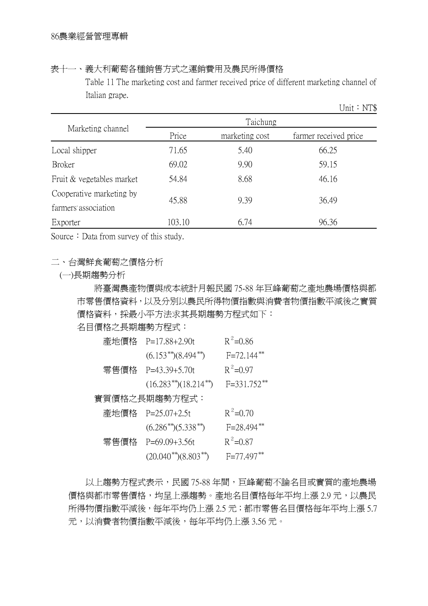表十一、義大利葡萄各種銷售方式之運銷費用及農民所得價格

Table 11 The marketing cost and farmer received price of different marketing channel of Italian grape.

Unit:NT\$

|                                                  | Taichung |                |                       |  |  |  |  |
|--------------------------------------------------|----------|----------------|-----------------------|--|--|--|--|
| Marketing channel                                | Price    | marketing cost | farmer received price |  |  |  |  |
| Local shipper                                    | 71.65    | 5.40           | 66.25                 |  |  |  |  |
| <b>Broker</b>                                    | 69.02    | 9.90           | 59.15                 |  |  |  |  |
| Fruit & vegetables market                        | 54.84    | 8.68           | 46.16                 |  |  |  |  |
| Cooperative marketing by<br>farmers' association | 45.88    | 9.39           | 36.49                 |  |  |  |  |
| Exporter                                         | 103.10   | 6.74           | 96.36                 |  |  |  |  |

Source: Data from survey of this study.

## 二、台灣鮮食葡萄之價格分析

(一)長期趨勢分析

將臺灣農產物價與成本統計月報民國 75-88 年巨峰葡萄之產地農場價格與都 市零售價格資料,以及分別以農民所得物價指數與消費者物價指數平減後之實質 價格資料,採最小平方法求其長期趨勢方程式如下:

名目價格之長期趨勢方程式:

| 產地價格 | $P=17.88+2.90t$             | $R^2 = 0.86$     |
|------|-----------------------------|------------------|
|      | $(6.153^{**})(8.494^{**})$  | $F = 72.144$ **  |
| 零售價格 | $P=43.39+5.70t$             | $R^2 = 0.97$     |
|      | $(16.283**)(18.214**)$      | $F = 331.752$ ** |
|      | 實質價格之長期趨勢方程式:               |                  |
|      | 產地價格 P=25.07+2.5t           | $R^2$ =0.70      |
|      | $(6.286^{**})(5.338^{**})$  | $F = 28.494$ **  |
| 零售價格 | $P=69.09+3.56t$             | $R^2 = 0.87$     |
|      | $(20.040^{**})(8.803^{**})$ | $F=77.497**$     |
|      |                             |                  |

以上趨勢方程式表示,民國 75-88 年間,巨峰葡萄不論名目或實質的產地農場 價格與都市零售價格,均呈上漲趨勢。產地名目價格每年平均上漲 2.9 元,以農民 所得物價指數平減後,每年平均仍上漲 2.5 元;都市零售名目價格每年平均上漲 5.7 元,以消費者物價指數平減後,每年平均仍上漲 3.56 元。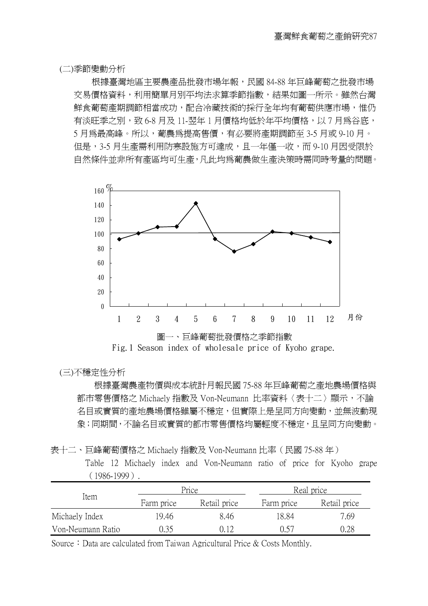(二)季節變動分析

根據臺灣地區主要農產品批發市場年報,民國 84-88 年巨峰葡萄之批發市場 交易價格資料,利用簡單月別平均法求算季節指數,結果如圖一所示。雖然台灣 鮮食葡萄產期調節相當成功,配合冷藏技術的採行全年均有葡萄供應市場,惟仍 有淡旺季之別,致 6-8 月及 11-翌年 1 月價格均低於年平均價格,以 7 月為谷底, 5 月為最高峰。所以,葡農為提高售價,有必要將產期調節至 3-5 月或 9-10 月。 但是,3-5 月生產需利用防寒設施方可達成,且一年僅一收,而 9-10 月因受限於 自然條件並非所有產區均可生產,凡此均為葡農做生產決策時需同時考量的問題。



#### (三)不穩定性分析

根據臺灣農產物價與成本統計月報民國 75-88 年巨峰葡萄之產地農場價格與 都市零售價格之 Michaely 指數及 Von-Neumann 比率資料〈表十二〉顯示,不論 名目或實質的產地農場價格雖屬不穩定,但實際上是呈同方向變動,並無波動現 象;同期間,不論名目或實質的都市零售價格均屬輕度不穩定,且呈同方向變動。

Table 12 Michaely index and Von-Neumann ratio of price for Kyoho grape (1986-1999).

|                   |            | Price        |            | Real price   |  |
|-------------------|------------|--------------|------------|--------------|--|
| Item              | Farm price | Retail price | Farm price | Retail price |  |
| Michaely Index    | 19.46      | 8.46         | 18.84      | 7.69         |  |
| Von-Neumann Ratio | ).35       | (112)        | በ 57       | 0.28         |  |

Source: Data are calculated from Taiwan Agricultural Price & Costs Monthly.

表十二、巨峰葡萄價格之 Michaely 指數及 Von-Neumann 比率(民國 75-88 年)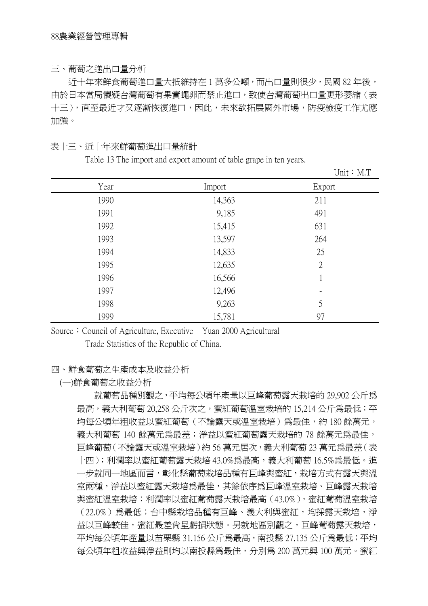#### 三、葡萄之進出口量分析

近十年來鮮食葡萄進口量大扺維持在 1 萬多公噸,而出口量則很少,民國 82 年後, 由於日本當局懷疑台灣葡萄有果實蠅卵而禁止進口,致使台灣葡萄出口量更形萎縮〈表 十三〉,直至最近才又逐漸恢復進口,因此,未來欲拓展國外市場,防疫檢疫工作尤應 加強。

### 表十三、近十年來鮮葡萄進出口量統計

Table 13 The import and export amount of table grape in ten years.

|      |        | Unit: $M.T$    |
|------|--------|----------------|
| Year | Import | Export         |
| 1990 | 14,363 | 211            |
| 1991 | 9,185  | 491            |
| 1992 | 15,415 | 631            |
| 1993 | 13,597 | 264            |
| 1994 | 14,833 | 25             |
| 1995 | 12,635 | $\overline{2}$ |
| 1996 | 16,566 | 1              |
| 1997 | 12,496 |                |
| 1998 | 9,263  | 5              |
| 1999 | 15,781 | 97             |

Source: Council of Agriculture, Executive Yuan 2000 Agricultural Trade Statistics of the Republic of China.

#### 四、鮮食葡萄之生產成本及收益分析

### (一)鮮食葡萄之收益分析

就葡萄品種別觀之,平均每公頃年產量以巨峰葡萄露天栽培的 29,902 公斤為 最高,義大利葡萄 20,258 公斤次之,蜜紅葡萄溫室栽培的 15,214 公斤為最低;平 均每公頃年粗收益以蜜紅葡萄(不論露天或溫室栽培)為最佳,約 180 餘萬元, 義大利葡萄 140 餘萬元爲最差;淨益以蜜紅葡萄露天栽培的 78 餘萬元爲最佳, 巨峰葡萄(不論露天或溫室栽培)約 56 萬元居次,義大利葡萄 23 萬元為最差(表 十四);利潤率以蜜紅葡萄露天栽培 43.0%為最高,義大利葡萄 16.5%為最低。進 一步就同一地區而言,彰化縣葡萄栽培品種有巨峰與蜜紅,栽培方式有露天與溫 室兩種,淨益以蜜紅露天栽培為最佳,其餘依序為巨峰溫室栽培、巨峰露天栽培 與蜜紅溫室栽培;利潤率以蜜紅葡萄露天栽培最高(43.0%),蜜紅葡萄溫室栽培 (22.0%)為最低;台中縣栽培品種有巨峰、義大利與蜜紅,均採露天栽培,淨 益以巨峰較佳,蜜紅最差尙呈虧損狀態。另就地區別觀之,巨峰葡萄露天栽培, 平均每公頃年產量以苗栗縣 31,156 公斤為最高,南投縣 27,135 公斤為最低;平均 每公頃年粗收益與淨益則均以南投縣為最佳,分別為 200 萬元與 100 萬元。蜜紅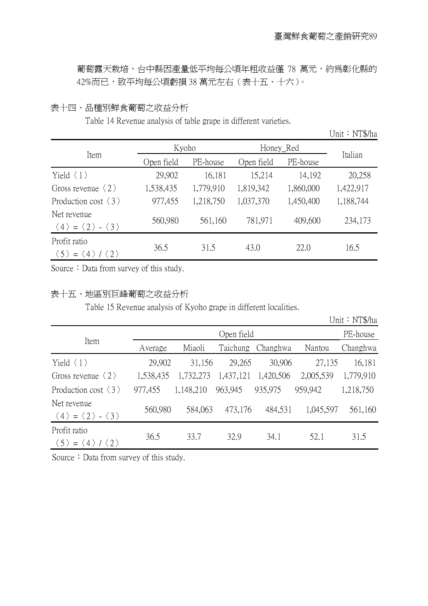葡萄露天栽培,台中縣因產量低平均每公頃年粗收益僅 78 萬元,約爲彰化縣的 42%而已,致平均每公頃虧損 38 萬元左右(表十五、十六)。

## 表十四、品種別鮮食葡萄之收益分析

Table 14 Revenue analysis of table grape in different varieties.

Unit: NT\$/ha

|                                                                                | Kyoho      |           |            | Honey_Red |           |
|--------------------------------------------------------------------------------|------------|-----------|------------|-----------|-----------|
| Item                                                                           | Open field | PE-house  | Open field | PE-house  | Italian   |
| Yield $\langle 1 \rangle$                                                      | 29,902     | 16,181    | 15,214     | 14,192    | 20,258    |
| Gross revenue $\langle 2 \rangle$                                              | 1,538,435  | 1,779,910 | 1,819,342  | 1,860,000 | 1,422,917 |
| Production cost $\langle 3 \rangle$                                            | 977,455    | 1,218,750 | 1,037,370  | 1,450,400 | 1,188,744 |
| Net revenue<br>$\langle 4 \rangle = \langle 2 \rangle - \langle 3 \rangle$     | 560,980    | 561,160   | 781,971    | 409,600   | 234,173   |
| Profit ratio<br>$\langle 2 \rangle$<br>$\langle 5 \rangle = \langle 4 \rangle$ | 36.5       | 31.5      | 43.0       | 22.0      | 16.5      |

Source: Data from survey of this study.

### 表十五、地區別巨峰葡萄之收益分析

Table 15 Revenue analysis of Kyoho grape in different localities.

|                                                                             |           |           |            |           |           | Unit: NT\$/ha |
|-----------------------------------------------------------------------------|-----------|-----------|------------|-----------|-----------|---------------|
|                                                                             |           |           | Open field |           |           | PE-house      |
| Item                                                                        | Average   | Miaoli    | Taichung   | Changhwa  | Nantou    | Changhwa      |
| Yield $\langle 1 \rangle$                                                   | 29,902    | 31,156    | 29,265     | 30,906    | 27,135    | 16,181        |
| Gross revenue $\langle 2 \rangle$                                           | 1,538,435 | 1,732,273 | 1,437,121  | 1,420,506 | 2,005,539 | 1,779,910     |
| Production cost $\langle 3 \rangle$                                         | 977,455   | 1,148,210 | 963,945    | 935,975   | 959,942   | 1,218,750     |
| Net revenue<br>$\langle 4 \rangle = \langle 2 \rangle - \langle 3 \rangle$  | 560,980   | 584,063   | 473,176    | 484,531   | 1,045,597 | 561,160       |
| Profit ratio<br>$\langle 5 \rangle = \langle 4 \rangle / \langle 2 \rangle$ | 36.5      | 33.7      | 32.9       | 34.1      | 52.1      | 31.5          |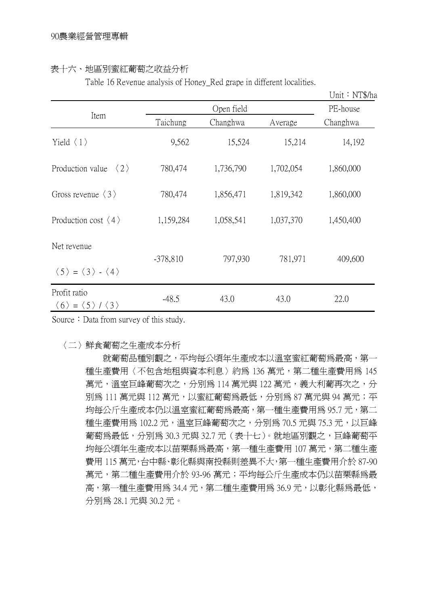#### 表十六、地區別蜜紅葡萄之收益分析

Table 16 Revenue analysis of Honey Red grape in different localities.

Unit:NT\$/ha

|                                                                             |            |            |           | Unit $\cdot$ NTS/ha |  |  |
|-----------------------------------------------------------------------------|------------|------------|-----------|---------------------|--|--|
|                                                                             |            | Open field |           |                     |  |  |
| Item                                                                        | Taichung   | Changhwa   | Average   | Changhwa            |  |  |
| Yield $\langle 1 \rangle$                                                   | 9,562      | 15,524     | 15,214    | 14,192              |  |  |
| Production value<br>$\langle 2 \rangle$                                     | 780,474    | 1,736,790  | 1,702,054 | 1,860,000           |  |  |
| Gross revenue $\langle 3 \rangle$                                           | 780,474    | 1,856,471  | 1,819,342 | 1,860,000           |  |  |
| Production cost $\langle 4 \rangle$                                         | 1,159,284  | 1,058,541  | 1,037,370 | 1,450,400           |  |  |
| Net revenue                                                                 | $-378,810$ | 797,930    | 781,971   | 409,600             |  |  |
| $\langle 5 \rangle = \langle 3 \rangle - \langle 4 \rangle$                 |            |            |           |                     |  |  |
| Profit ratio<br>$\langle 6 \rangle = \langle 5 \rangle / \langle 3 \rangle$ | $-48.5$    | 43.0       | 43.0      | 22.0                |  |  |

Source: Data from survey of this study.

〈二〉鮮食葡萄之生產成本分析

就葡萄品種別觀之,平均每公頃年生產成本以溫室蜜紅葡萄為最高,第一 種生產費用〈不包含地租與資本利息〉約爲 136 萬元,第二種生產費用爲 145 萬元,溫室巨峰葡萄次之,分別爲 114 萬元與 122 萬元,義大利葡再次之,分 別為 111 萬元與 112 萬元,以蜜紅葡萄為最低,分別為 87 萬元與 94 萬元;平 均每公斤生產成本仍以溫室蜜紅葡萄為最高,第一種生產費用為 95.7 元,第二 種生產費用為 102.2 元,溫室巨峰葡萄次之,分別為 70.5 元與 75.3 元,以巨峰 葡萄為最低,分別為 30.3 元與 32.7 元 (表十七)。就地區別觀之,巨峰葡萄平 均每公頃年生產成本以苗栗縣為最高,第一種生產費用 107 萬元,第二種生產 費用 115 萬元,台中縣、彰化縣與南投縣則差異不大,第一種生產費用介於 87-90 萬元,第二種生產費用介於 93-96 萬元;平均每公斤生產成本仍以苗栗縣為最 高,第一種生產費用為 34.4 元,第二種生產費用為 36.9 元,以彰化縣為最低, 分別為 28.1 元與 30.2 元。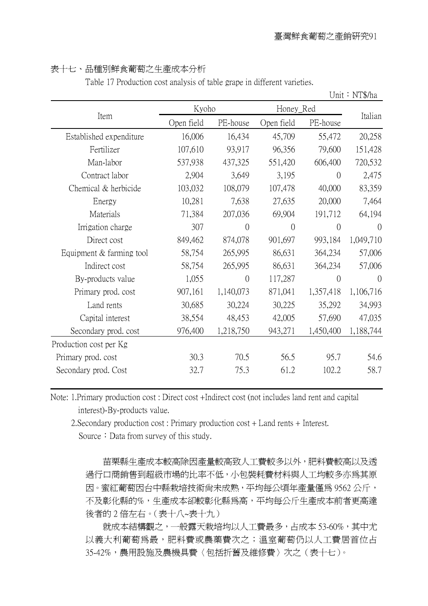$U$ 

### 表十七、品種別鮮食葡萄之生產成本分析

Table 17 Production cost analysis of table grape in different varieties.

|                          |            |                    |                |                | Unit $\cdot$ NTS/ha |
|--------------------------|------------|--------------------|----------------|----------------|---------------------|
|                          |            | Kyoho<br>Honey_Red |                |                |                     |
| Item                     | Open field | PE-house           | Open field     | PE-house       | Italian             |
| Established expenditure  | 16,006     | 16,434             | 45,709         | 55,472         | 20,258              |
| Fertilizer               | 107,610    | 93,917             | 96,356         | 79,600         | 151,428             |
| Man-labor                | 537,938    | 437,325            | 551,420        | 606,400        | 720,532             |
| Contract labor           | 2,904      | 3,649              | 3,195          | $\theta$       | 2,475               |
| Chemical & herbicide     | 103,032    | 108,079            | 107,478        | 40,000         | 83,359              |
| Energy                   | 10,281     | 7,638              | 27,635         | 20,000         | 7,464               |
| Materials                | 71,384     | 207,036            | 69,904         | 191,712        | 64,194              |
| Irrigation charge        | 307        | $\overline{0}$     | $\overline{0}$ | $\Omega$       | $\left( \right)$    |
| Direct cost              | 849,462    | 874,078            | 901,697        | 993,184        | 1,049,710           |
| Equipment & farming tool | 58,754     | 265,995            | 86,631         | 364,234        | 57,006              |
| Indirect cost            | 58,754     | 265,995            | 86,631         | 364,234        | 57,006              |
| By-products value        | 1,055      | $\overline{0}$     | 117,287        | $\overline{0}$ | $\overline{0}$      |
| Primary prod. cost       | 907,161    | 1,140,073          | 871,041        | 1,357,418      | 1,106,716           |
| Land rents               | 30,685     | 30,224             | 30,225         | 35,292         | 34,993              |
| Capital interest         | 38,554     | 48,453             | 42,005         | 57,690         | 47,035              |
| Secondary prod. cost     | 976,400    | 1,218,750          | 943,271        | 1,450,400      | 1,188,744           |
| Production cost per Kg   |            |                    |                |                |                     |
| Primary prod. cost       | 30.3       | 70.5               | 56.5           | 95.7           | 54.6                |
| Secondary prod. Cost     | 32.7       | 75.3               | 61.2           | 102.2          | 58.7                |
|                          |            |                    |                |                |                     |

Note: 1.Primary production cost : Direct cost +Indirect cost (not includes land rent and capital interest)-By-products value.

2.Secondary production cost : Primary production cost + Land rents + Interest. Source: Data from survey of this study.

苗栗縣生產成本較高除因產量較高致人工費較多以外,肥料費較高以及透 過行口商銷售到超級市場的比率不低,小包裝耗費材料與人工均較多亦為其原 因。蜜紅葡萄因台中縣栽培技術尚未成熟,平均每公頃年產量僅為 9562 公斤, 不及彰化縣的%,生產成本卻較彰化縣為高,平均每公斤生產成本前者更高達 後者的 2 倍左右。(表十八~表十九)

就成本結構觀之,一般露天栽培均以人工費最多,占成本 53-60%,其中尤 以義大利葡萄為最,肥料費或農藥費次之;溫室葡萄仍以人工費居首位占 35-42%,農用設施及農機具費〈包括折舊及維修費〉次之(表十七)。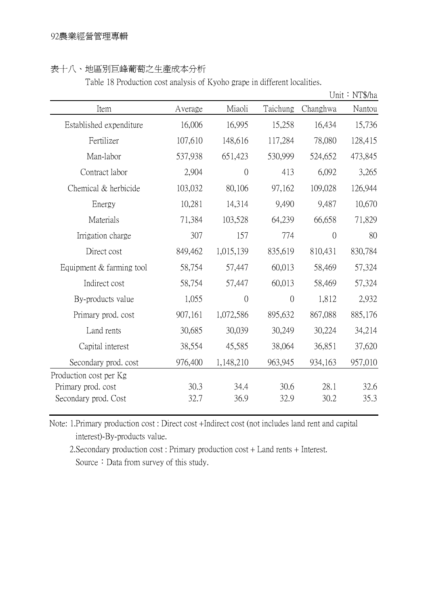## 表十八、地區別巨峰葡萄之生產成本分析

Table 18 Production cost analysis of Kyoho grape in different localities.

|                          |         |                |                |                | Unit: NT\$/ha |
|--------------------------|---------|----------------|----------------|----------------|---------------|
| Item                     | Average | Miaoli         | Taichung       | Changhwa       | Nantou        |
| Established expenditure  | 16,006  | 16,995         | 15,258         | 16,434         | 15,736        |
| Fertilizer               | 107,610 | 148,616        | 117,284        | 78,080         | 128,415       |
| Man-labor                | 537,938 | 651,423        | 530,999        | 524,652        | 473,845       |
| Contract labor           | 2,904   | $\overline{0}$ | 413            | 6,092          | 3,265         |
| Chemical & herbicide     | 103,032 | 80,106         | 97,162         | 109,028        | 126,944       |
| Energy                   | 10,281  | 14,314         | 9,490          | 9,487          | 10,670        |
| Materials                | 71,384  | 103,528        | 64,239         | 66,658         | 71,829        |
| Irrigation charge        | 307     | 157            | 774            | $\overline{0}$ | 80            |
| Direct cost              | 849,462 | 1,015,139      | 835,619        | 810,431        | 830,784       |
| Equipment & farming tool | 58,754  | 57,447         | 60,013         | 58,469         | 57,324        |
| Indirect cost            | 58,754  | 57,447         | 60,013         | 58,469         | 57,324        |
| By-products value        | 1,055   | $\overline{0}$ | $\overline{0}$ | 1,812          | 2,932         |
| Primary prod. cost       | 907,161 | 1,072,586      | 895,632        | 867,088        | 885,176       |
| Land rents               | 30,685  | 30,039         | 30,249         | 30,224         | 34,214        |
| Capital interest         | 38,554  | 45,585         | 38,064         | 36,851         | 37,620        |
| Secondary prod. cost     | 976,400 | 1,148,210      | 963,945        | 934,163        | 957,010       |
| Production cost per Kg   |         |                |                |                |               |
| Primary prod. cost       | 30.3    | 34.4           | 30.6           | 28.1           | 32.6          |
| Secondary prod. Cost     | 32.7    | 36.9           | 32.9           | 30.2           | 35.3          |

Note: 1.Primary production cost : Direct cost +Indirect cost (not includes land rent and capital interest)-By-products value.

2.Secondary production cost : Primary production cost + Land rents + Interest. Source: Data from survey of this study.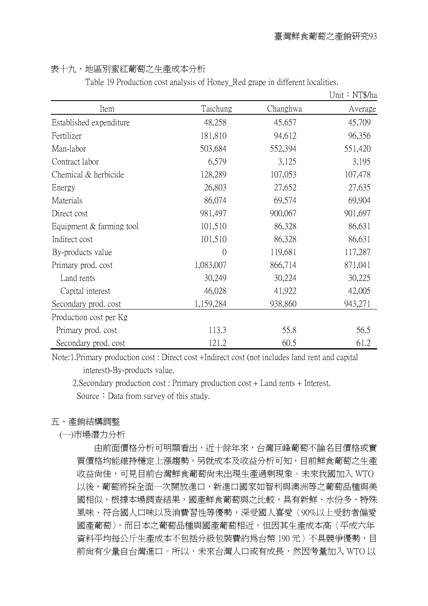### 表十九、地區別蜜紅葡萄之生產成本分析

Table 19 Production cost analysis of Honey\_Red grape in different localities.

|                            |           |          | Unit: NT\$/ha |
|----------------------------|-----------|----------|---------------|
| Item                       | Taichung  | Changhwa | Average       |
| Established expenditure    | 48,258    | 45,657   | 45,709        |
| Fertilizer                 | 181,810   | 94,612   | 96,356        |
| Man-labor                  | 503,684   | 552,394  | 551,420       |
| Contract labor             | 6,579     | 3,125    | 3,195         |
| Chemical & herbicide       | 128,289   | 107,053  | 107,478       |
| Energy                     | 26,803    | 27,652   | 27,635        |
| Materials                  | 86,074    | 69,574   | 69,904        |
| Direct cost                | 981,497   | 900,067  | 901,697       |
| Equipment $&$ farming tool | 101,510   | 86,328   | 86,631        |
| Indirect cost              | 101,510   | 86,328   | 86,631        |
| By-products value          | $\Omega$  | 119,681  | 117,287       |
| Primary prod. cost         | 1,083,007 | 866,714  | 871,041       |
| Land rents                 | 30,249    | 30,224   | 30,225        |
| Capital interest           | 46,028    | 41,922   | 42,005        |
| Secondary prod. cost       | 1,159,284 | 938,860  | 943,271       |
| Production cost per Kg     |           |          |               |
| Primary prod. cost         | 113.3     | 55.8     | 56.5          |
| Secondary prod. cost       | 121.2     | 60.5     | 61.2          |

Note:1.Primary production cost : Direct cost +Indirect cost (not includes land rent and capital interest)-By-products value.

2.Secondary production cost : Primary production cost + Land rents + Interest. Source: Data from survey of this study.

## 五、產銷結構調整

(一)市場潛力分析

由前面價格分析可明顯看出,近十餘年來,台灣巨峰葡萄不論名目價格或實 質價格均能維持穩定上漲趨勢,另就成本及收益分析可知,目前鮮食葡萄之生產 收益尚佳,可見目前台灣鮮食葡萄尚未出現生產過剩現象。未來我國加入 WTO 以後,葡萄將採全面一次開放進口,新進口國家如智利與澳洲等之葡萄品種與美 國相似,根據本場調查結果,國產鮮食葡萄與之比較,具有新鮮、水份多、特殊 風味、符合國人口味以及消費習性等優勢,深受國人喜愛〈90%以上受訪者偏愛 國產葡萄〉,而日本之葡萄品種與國產葡萄相近,但因其生產成本高〈平成六年 資料平均每公斤生產成本不包括分級包裝費約為台幣 190 元〉不具競爭優勢,目 前尚有少量自台灣進口。所以,未來台灣人口或有成長,然因考量加入 WTO 以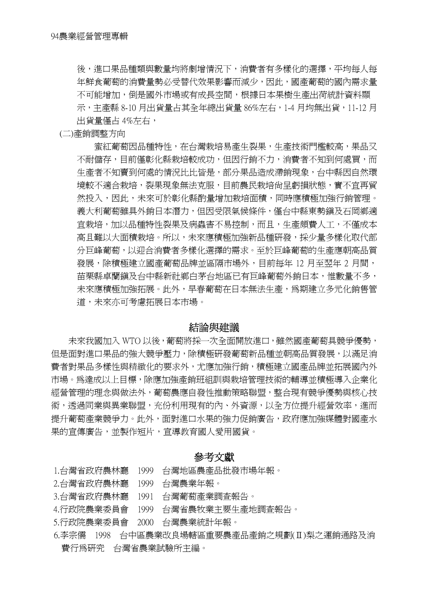後,進口果品種類與數量均將劇增情況下,消費者有多樣化的選擇,平均每人每 年鮮食葡萄的消費量勢必受替代效果影響而減少,因此,國產葡萄的國內需求量 不可能增加,倒是國外市場或有成長空間,根據日本果樹生產出荷統計資料顯 示,主產縣 8-10 月出貨量占其全年總出貨量 86%左右,1-4 月均無出貨,11-12 月 出貨量僅占 4%左右,

(二)產銷調整方向

蜜紅葡萄因品種特性,在台灣栽培易產生裂果,生產技術門檻較高,果品又 不耐儲存,目前僅彰化縣栽培較成功,但因行銷不力,消費者不知到何處買,而 生產者不知賣到何處的情況比比皆是,部分果品造成滯銷現象,台中縣因自然環 境較不適合栽培,裂果現象無法克服,目前農民栽培尚呈虧損狀態,實不宜再貿 然投入,因此,未來可於彰化縣酌量增加栽培面積,同時應積極加強行銷管理。 義大利葡萄雖具外銷日本潛力,但因受限氣候條件,僅台中縣東勢鎮及石岡鄉適 宜栽培,加以品種特性裂果及病蟲害不易控制,而且,生產頗費人工,不僅成本 高且難以大面積栽培。所以,未來應積極加強新品種研發,採少量多樣化取代部 分巨峰葡萄,以迎合消費者多樣化選擇的需求。至於巨峰葡萄的生產應朝高品質 發展,除積極建立國產葡萄品牌並區隔市場外,目前每年 12 月至翌年 2 月間, 苗栗縣卓蘭鎮及台中縣新社鄉白茅台地區已有巨峰葡萄外銷日本,惟數量不多, 未來應積極加強拓展。此外,早春葡萄在日本無法生產,為期建立多元化銷售管 道,未來亦可考慮拓展日本市場。

#### 結論與建議

未來我國加入 WTO 以後,葡萄將採一次全面開放進口,雖然國產葡萄具競爭優勢, 但是面對進口果品的強大競爭壓力,除積極研發葡萄新品種並朝高品質發展,以滿足消 費者對果品多樣性與精緻化的要求外,尤應加強行銷,積極建立國產品牌並拓展國內外 市場。為達成以上目標,除應加強產銷班組訓與栽培管理技術的輔導並積極導入企業化 經營管理的理念與做法外,葡萄農應自發性推動策略聯盟,整合現有競爭優勢與核心技 術,透過同業與異業聯盟,充份利用現有的內、外資源,以全方位提升經營效率,進而 提升葡萄產業競爭力。此外,面對進口水果的強力促銷廣告,政府應加強媒體對國產水 果的宣傳廣告,並製作短片,宣導教育國人愛用國貨。

#### 參考文獻

1.台灣省政府農林廳 1999 台灣地區農產品批發市場年報。

- 2.台灣省政府農林廳 1999 台灣農業年報。
- 3.台灣省政府農林廳 1991 台灣葡萄產業調查報告。
- 4.行政院農業委員會 1999 台灣省農牧業主要生產地調查報告。
- 5.行政院農業委員會 2000 台灣農業統計年報。
- 6.李宗儒 1998 台中區農業改良場轄區重要農產品產銷之規劃(Ⅱ)梨之運銷通路及消 費行為研究 台灣省農業試驗所主編。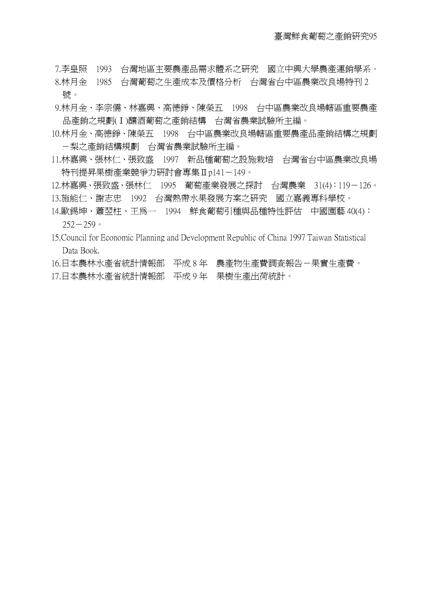- 7.李皇照 1993 台灣地區主要農產品需求體系之研究 國立中興大學農產運銷學系。
- 8.林月金 1985 台灣葡萄之生產成本及價格分析 台灣省台中區農業改良場特刊 2 號。
- 9.林月金、李宗儒、林嘉興、高德錚、陳榮五 1998 台中區農業改良場轄區重要農產 品產銷之規劃(Ⅰ)釀酒葡萄之產銷結構 台灣省農業試驗所主編。
- 10.林月金、高德錚、陳榮五 1998 台中區農業改良場轄區重要農產品產銷結構之規劃 -梨之產銷結構規劃 台灣省農業試驗所主編。
- 11.林嘉興、張林仁、張致盛 1997 新品種葡萄之設施栽培 台灣省台中區農業改良場 特刊提昇果樹產業競爭力研討會專集Ⅱp141-149。
- 12.林嘉興、張致盛、張林仁 1995 葡萄產業發展之探討 台灣農業 31(4):119-126。 13.施能仁、謝志忠 1992 台灣熱帶水果發展方案之研究 國立嘉義專科學校。
- 14.歐錫坤、蕭翌柱、王為一 1994 鮮食葡萄引種與品種特性評估 中國園藝 40(4):  $252 - 259$
- 15.Council for Economic Planning and Development Republic of China 1997 Taiwan Statistical Data Book.
- 16.日本農林水產省統計情報部 平成 8 年 農產物生產費調查報告-果實生產費。
- 17.日本農林水產省統計情報部 平成 9 年 果樹生產出荷統計。